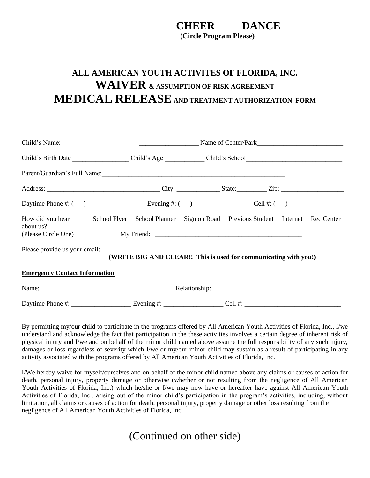## **CHEER DANCE**

**(Circle Program Please)**

## **ALL AMERICAN YOUTH ACTIVITES OF FLORIDA, INC. WAIVER & ASSUMPTION OF RISK AGREEMENT MEDICAL RELEASE AND TREATMENT AUTHORIZATION FORM**

|                                      | Parent/Guardian's Full Name:<br><u> and</u> Containing the Containing Contains and Contains and Contains and Contains and Contains and Contains and Contains and Contains and Contains and Contains and Contains and Contains and Con |  |  |
|--------------------------------------|---------------------------------------------------------------------------------------------------------------------------------------------------------------------------------------------------------------------------------------|--|--|
|                                      |                                                                                                                                                                                                                                       |  |  |
|                                      | Daytime Phone #: $(\_\_\_\_\_\_\_$ Evening #: $(\_\_\_\_\_\_$ Cell #: $(\_\_\_\_\_\_$                                                                                                                                                 |  |  |
| about us?                            | How did you hear School Flyer School Planner Sign on Road Previous Student Internet Rec Center                                                                                                                                        |  |  |
|                                      | (WRITE BIG AND CLEAR!! This is used for communicating with you!)                                                                                                                                                                      |  |  |
| <b>Emergency Contact Information</b> |                                                                                                                                                                                                                                       |  |  |
|                                      |                                                                                                                                                                                                                                       |  |  |
|                                      |                                                                                                                                                                                                                                       |  |  |

By permitting my/our child to participate in the programs offered by All American Youth Activities of Florida, Inc., I/we understand and acknowledge the fact that participation in the these activities involves a certain degree of inherent risk of physical injury and I/we and on behalf of the minor child named above assume the full responsibility of any such injury, damages or loss regardless of severity which I/we or my/our minor child may sustain as a result of participating in any activity associated with the programs offered by All American Youth Activities of Florida, Inc.

I/We hereby waive for myself/ourselves and on behalf of the minor child named above any claims or causes of action for death, personal injury, property damage or otherwise (whether or not resulting from the negligence of All American Youth Activities of Florida, Inc.) which he/she or I/we may now have or hereafter have against All American Youth Activities of Florida, Inc., arising out of the minor child's participation in the program's activities, including, without limitation, all claims or causes of action for death, personal injury, property damage or other loss resulting from the negligence of All American Youth Activities of Florida, Inc.

(Continued on other side)